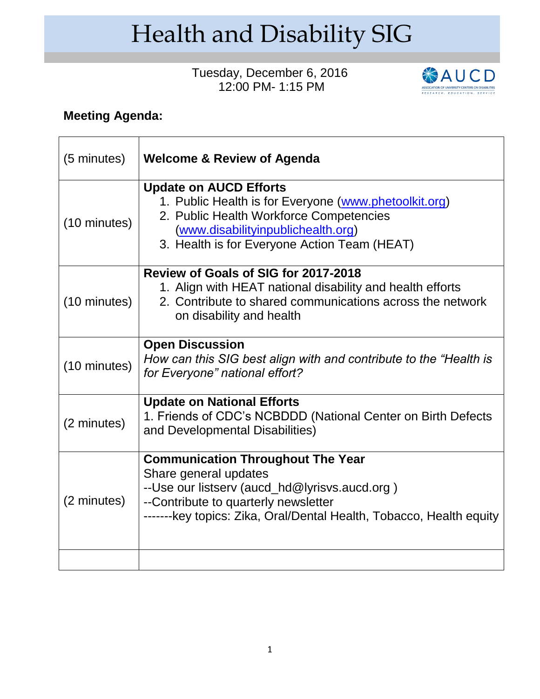## Health and Disability SIG

## Tuesday, December 6, 2016 12:00 PM- 1:15 PM



## **Meeting Agenda:**

| (5 minutes)  | <b>Welcome &amp; Review of Agenda</b>                                                                                                                                                                                             |
|--------------|-----------------------------------------------------------------------------------------------------------------------------------------------------------------------------------------------------------------------------------|
| (10 minutes) | <b>Update on AUCD Efforts</b><br>1. Public Health is for Everyone (www.phetoolkit.org)<br>2. Public Health Workforce Competencies<br>(www.disabilityinpublichealth.org)<br>3. Health is for Everyone Action Team (HEAT)           |
| (10 minutes) | Review of Goals of SIG for 2017-2018<br>1. Align with HEAT national disability and health efforts<br>2. Contribute to shared communications across the network<br>on disability and health                                        |
| (10 minutes) | <b>Open Discussion</b><br>How can this SIG best align with and contribute to the "Health is<br>for Everyone" national effort?                                                                                                     |
| (2 minutes)  | <b>Update on National Efforts</b><br>1. Friends of CDC's NCBDDD (National Center on Birth Defects<br>and Developmental Disabilities)                                                                                              |
| (2 minutes)  | <b>Communication Throughout The Year</b><br>Share general updates<br>--Use our listserv (aucd_hd@lyrisvs.aucd.org)<br>--Contribute to quarterly newsletter<br>-------key topics: Zika, Oral/Dental Health, Tobacco, Health equity |
|              |                                                                                                                                                                                                                                   |